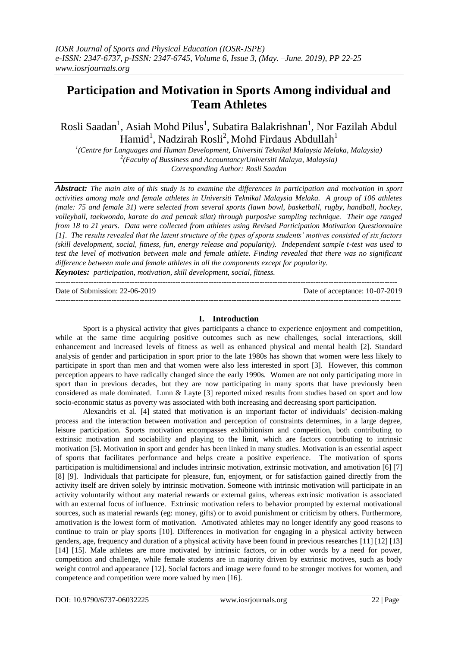# **Participation and Motivation in Sports Among individual and Team Athletes**

Rosli Saadan<sup>1</sup>, Asiah Mohd Pilus<sup>1</sup>, Subatira Balakrishnan<sup>1</sup>, Nor Fazilah Abdul  $\text{Hamid}^1$ , Nadzirah Rosli<sup>2</sup>, Mohd Firdaus Abdullah<sup>1</sup>

*1 (Centre for Languages and Human Development, Universiti Teknikal Malaysia Melaka, Malaysia) 2 (Faculty of Bussiness and Accountancy/Universiti Malaya, Malaysia) Corresponding Author: Rosli Saadan*

*Abstract: The main aim of this study is to examine the differences in participation and motivation in sport activities among male and female athletes in Universiti Teknikal Malaysia Melaka. A group of 106 athletes (male: 75 and female 31) were selected from several sports (lawn bowl, basketball, rugby, handball, hockey, volleyball, taekwondo, karate do and pencak silat) through purposive sampling technique. Their age ranged from 18 to 21 years. Data were collected from athletes using Revised Participation Motivation Questionnaire [1]. The results revealed that the latent structure of the types of sports students' motives consisted of six factors (skill development, social, fitness, fun, energy release and popularity). Independent sample t-test was used to test the level of motivation between male and female athlete. Finding revealed that there was no significant difference between male and female athletes in all the components except for popularity. Keynotes: participation, motivation, skill development, social, fitness.*

--------------------------------------------------------------------------------------------------------------------------------------

Date of Submission: 22-06-2019 Date of acceptance: 10-07-2019 ---------------------------------------------------------------------------------------------------------------------------------------

# **I. Introduction**

Sport is a physical activity that gives participants a chance to experience enjoyment and competition, while at the same time acquiring positive outcomes such as new challenges, social interactions, skill enhancement and increased levels of fitness as well as enhanced physical and mental health [2]. Standard analysis of gender and participation in sport prior to the late 1980s has shown that women were less likely to participate in sport than men and that women were also less interested in sport [3]. However, this common perception appears to have radically changed since the early 1990s. Women are not only participating more in sport than in previous decades, but they are now participating in many sports that have previously been considered as male dominated. Lunn & Layte [3] reported mixed results from studies based on sport and low socio-economic status as poverty was associated with both increasing and decreasing sport participation.

Alexandris et al. [4] stated that motivation is an important factor of individuals' decision-making process and the interaction between motivation and perception of constraints determines, in a large degree, leisure participation. Sports motivation encompasses exhibitionism and competition, both contributing to extrinsic motivation and sociability and playing to the limit, which are factors contributing to intrinsic motivation [5]. Motivation in sport and gender has been linked in many studies. Motivation is an essential aspect of sports that facilitates performance and helps create a positive experience. The motivation of sports participation is multidimensional and includes intrinsic motivation, extrinsic motivation, and amotivation [6] [7] [8] [9]. Individuals that participate for pleasure, fun, enjoyment, or for satisfaction gained directly from the activity itself are driven solely by intrinsic motivation. Someone with intrinsic motivation will participate in an activity voluntarily without any material rewards or external gains, whereas extrinsic motivation is associated with an external focus of influence. Extrinsic motivation refers to behavior prompted by external motivational sources, such as material rewards (eg: money, gifts) or to avoid punishment or criticism by others. Furthermore, amotivation is the lowest form of motivation. Amotivated athletes may no longer identify any good reasons to continue to train or play sports [10]. Differences in motivation for engaging in a physical activity between genders, age, frequency and duration of a physical activity have been found in previous researches [11] [12] [13] [14] [15]. Male athletes are more motivated by intrinsic factors, or in other words by a need for power, competition and challenge, while female students are in majority driven by extrinsic motives, such as body weight control and appearance [12]. Social factors and image were found to be stronger motives for women, and competence and competition were more valued by men [16].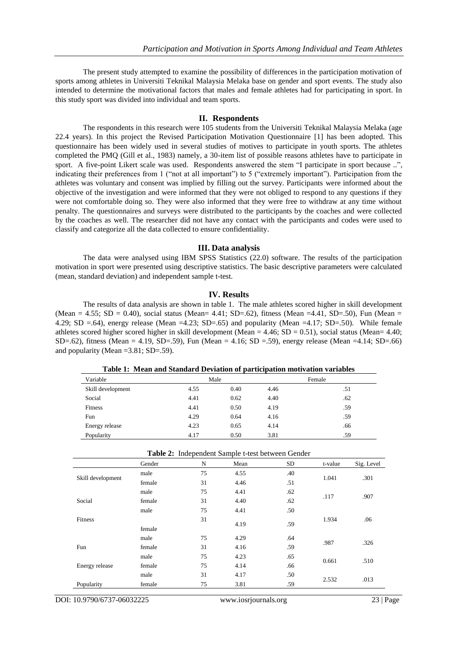The present study attempted to examine the possibility of differences in the participation motivation of sports among athletes in Universiti Teknikal Malaysia Melaka base on gender and sport events. The study also intended to determine the motivational factors that males and female athletes had for participating in sport. In this study sport was divided into individual and team sports.

## **II. Respondents**

The respondents in this research were 105 students from the Universiti Teknikal Malaysia Melaka (age 22.4 years). In this project the Revised Participation Motivation Questionnaire [1] has been adopted. This questionnaire has been widely used in several studies of motives to participate in youth sports. The athletes completed the PMQ (Gill et al., 1983) namely, a 30-item list of possible reasons athletes have to participate in sport. A five-point Likert scale was used. Respondents answered the stem "I participate in sport because ..", indicating their preferences from 1 ("not at all important") to 5 ("extremely important"). Participation from the athletes was voluntary and consent was implied by filling out the survey. Participants were informed about the objective of the investigation and were informed that they were not obliged to respond to any questions if they were not comfortable doing so. They were also informed that they were free to withdraw at any time without penalty. The questionnaires and surveys were distributed to the participants by the coaches and were collected by the coaches as well. The researcher did not have any contact with the participants and codes were used to classify and categorize all the data collected to ensure confidentiality.

# **III. Data analysis**

The data were analysed using IBM SPSS Statistics (22.0) software. The results of the participation motivation in sport were presented using descriptive statistics. The basic descriptive parameters were calculated (mean, standard deviation) and independent sample t-test.

### **IV. Results**

The results of data analysis are shown in table 1. The male athletes scored higher in skill development (Mean = 4.55; SD = 0.40), social status (Mean= 4.41; SD=.62), fitness (Mean = 4.41, SD=.50), Fun (Mean = 4.29; SD =.64), energy release (Mean =4.23; SD=.65) and popularity (Mean =4.17; SD=.50). While female athletes scored higher scored higher in skill development (Mean = 4.46; SD = 0.51), social status (Mean= 4.40; SD=.62), fitness (Mean = 4.19, SD=.59), Fun (Mean = 4.16; SD = .59), energy release (Mean = 4.14; SD=.66) and popularity (Mean =3.81; SD=.59).

**Table 1: Mean and Standard Deviation of participation motivation variables**

| Variable          | Male |      | Female |     |
|-------------------|------|------|--------|-----|
| Skill development | 4.55 | 0.40 | 4.46   | .51 |
| Social            | 4.41 | 0.62 | 4.40   | .62 |
| <b>Fitness</b>    | 4.41 | 0.50 | 4.19   | .59 |
| Fun               | 4.29 | 0.64 | 4.16   | .59 |
| Energy release    | 4.23 | 0.65 | 4.14   | .66 |
| Popularity        | 4.17 | 0.50 | 3.81   | .59 |

|  |  |  | Table 2: Independent Sample t-test between Gender |
|--|--|--|---------------------------------------------------|
|--|--|--|---------------------------------------------------|

|                   | Gender | N  | Mean | <b>SD</b> | t-value | Sig. Level |
|-------------------|--------|----|------|-----------|---------|------------|
| Skill development | male   | 75 | 4.55 | .40       | 1.041   | .301       |
|                   | female | 31 | 4.46 | .51       |         |            |
|                   | male   | 75 | 4.41 | .62       |         |            |
| Social            | female | 31 | 4.40 | .62       | .117    | .907       |
|                   | male   | 75 | 4.41 | .50       |         |            |
| Fitness           |        | 31 |      |           | 1.934   | .06        |
|                   | female |    | 4.19 | .59       |         |            |
|                   | male   | 75 | 4.29 | .64       |         |            |
| Fun               | female | 31 | 4.16 | .59       | .987    | .326       |
|                   | male   | 75 | 4.23 | .65       |         |            |
| Energy release    | female | 75 | 4.14 | .66       | 0.661   | .510       |
|                   | male   | 31 | 4.17 | .50       |         |            |
| Popularity        | female | 75 | 3.81 | .59       | 2.532   | .013       |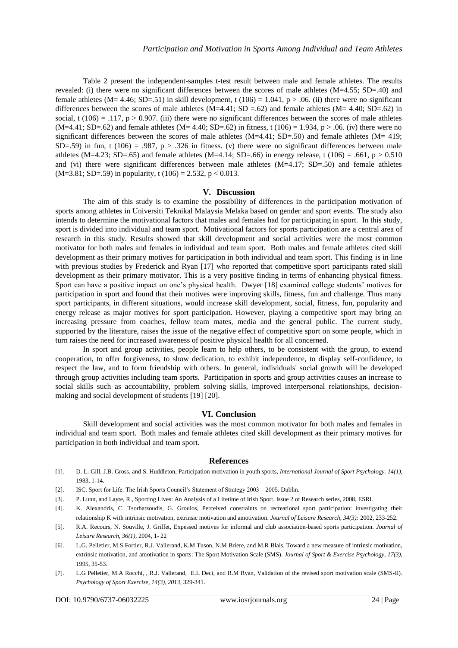Table 2 present the independent-samples t-test result between male and female athletes. The results revealed: (i) there were no significant differences between the scores of male athletes (M=4.55; SD=.40) and female athletes ( $M = 4.46$ ;  $SD = .51$ ) in skill development, t (106) = 1.041, p > .06. (ii) there were no significant differences between the scores of male athletes  $(M=4.41; SD = .62)$  and female athletes  $(M= 4.40; SD = .62)$  in social, t (106) = .117,  $p > 0.907$ . (iii) there were no significant differences between the scores of male athletes  $(M=4.41; SD=0.62)$  and female athletes  $(M=4.40; SD=0.62)$  in fitness, t  $(106) = 1.934, p > 0.06$ . (iv) there were no significant differences between the scores of male athletes  $(M=4.41; SD=0.50)$  and female athletes  $(M= 419;$ SD=.59) in fun, t (106) = .987, p > .326 in fitness. (v) there were no significant differences between male athletes (M=4.23; SD=.65) and female athletes (M=4.14; SD=.66) in energy release, t (106) = .661, p > 0.510 and (vi) there were significant differences between male athletes (M=4.17; SD=.50) and female athletes  $(M=3.81; SD=.59)$  in popularity, t  $(106) = 2.532$ , p < 0.013.

#### **V. Discussion**

The aim of this study is to examine the possibility of differences in the participation motivation of sports among athletes in Universiti Teknikal Malaysia Melaka based on gender and sport events. The study also intends to determine the motivational factors that males and females had for participating in sport. In this study, sport is divided into individual and team sport. Motivational factors for sports participation are a central area of research in this study. Results showed that skill development and social activities were the most common motivator for both males and females in individual and team sport. Both males and female athletes cited skill development as their primary motives for participation in both individual and team sport. This finding is in line with previous studies by Frederick and Ryan [17] who reported that competitive sport participants rated skill development as their primary motivator. This is a very positive finding in terms of enhancing physical fitness. Sport can have a positive impact on one's physical health. Dwyer [18] examined college students' motives for participation in sport and found that their motives were improving skills, fitness, fun and challenge. Thus many sport participants, in different situations, would increase skill development, social, fitness, fun, popularity and energy release as major motives for sport participation. However, playing a competitive sport may bring an increasing pressure from coaches, fellow team mates, media and the general public. The current study, supported by the literature, raises the issue of the negative effect of competitive sport on some people, which in turn raises the need for increased awareness of positive physical health for all concerned.

In sport and group activities, people learn to help others, to be consistent with the group, to extend cooperation, to offer forgiveness, to show dedication, to exhibit independence, to display self-confidence, to respect the law, and to form friendship with others. In general, individuals' social growth will be developed through group activities including team sports. Participation in sports and group activities causes an increase to social skills such as accountability, problem solving skills, improved interpersonal relationships, decisionmaking and social development of students [19] [20].

#### **VI. Conclusion**

Skill development and social activities was the most common motivator for both males and females in individual and team sport. Both males and female athletes cited skill development as their primary motives for participation in both individual and team sport.

#### **References**

- [1]. D. L. Gill, J.B. Gross, and S. Huddleton, Participation motivation in youth sports, *International Journal of Sport Psychology. 14(1),* 1983, 1-14.
- [2]. ISC. Sport for Life. The Irish Sports Council's Statement of Strategy 2003 2005. Dublin.
- [3]. P. Lunn, and Layte, R., Sporting Lives: An Analysis of a Lifetime of Irish Sport. Issue 2 of Research series, 2008, ESRI.
- [4]. K. Alexandris, C. Tsorbatzoudis, G. Grouios, Perceived constraints on recreational sport participation: investigating their relationship K with intrinsic motivation, extrinsic motivation and amotivation. *Journal of Leisure Research, 34(3):* 2002, 233-252.
- [5]. R.A. Recours, N. Souville, J. Griffet, Expessed motives for informal and club association-based sports participation. *Journal of Leisure Research, 36(1),* 2004, 1- 22
- [6]. L.G. Pelletier, M.S Fortier, R.J. Vallerand, K.M Tuson, N.M Briere, and M.R Blais, Toward a new measure of intrinsic motivation, extrinsic motivation, and amotivation in sports: The Sport Motivation Scale (SMS). *Journal of Sport & Exercise Psychology, 17(3),* 1995, 35-53.
- [7]. L.G Pelletier, M.A Rocchi, , R.J. Vallerand, E.L Deci, and R.M Ryan, Validation of the revised sport motivation scale (SMS-II). *Psychology of Sport Exercise, 14(3), 2013*, 329-341.